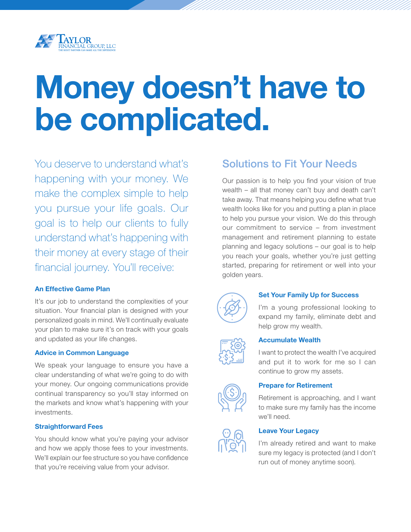

# Money doesn't have to be complicated.

You deserve to understand what's happening with your money. We make the complex simple to help you pursue your life goals. Our goal is to help our clients to fully understand what's happening with their money at every stage of their financial journey. You'll receive:

#### An Effective Game Plan

It's our job to understand the complexities of your situation. Your financial plan is designed with your personalized goals in mind. We'll continually evaluate your plan to make sure it's on track with your goals and updated as your life changes.

#### Advice in Common Language

We speak your language to ensure you have a clear understanding of what we're going to do with your money. Our ongoing communications provide continual transparency so you'll stay informed on the markets and know what's happening with your investments.

#### Straightforward Fees

You should know what you're paying your advisor and how we apply those fees to your investments. We'll explain our fee structure so you have confidence that you're receiving value from your advisor.

### Solutions to Fit Your Needs

Our passion is to help you find your vision of true wealth – all that money can't buy and death can't take away. That means helping you define what true wealth looks like for you and putting a plan in place to help you pursue your vision. We do this through our commitment to service – from investment management and retirement planning to estate planning and legacy solutions – our goal is to help you reach your goals, whether you're just getting started, preparing for retirement or well into your golden years.



#### Set Your Family Up for Success

I'm a young professional looking to expand my family, eliminate debt and help grow my wealth.



#### Accumulate Wealth

I want to protect the wealth I've acquired and put it to work for me so I can continue to grow my assets.



#### Prepare for Retirement

Retirement is approaching, and I want to make sure my family has the income we'll need.

#### Leave Your Legacy

I'm already retired and want to make sure my legacy is protected (and I don't run out of money anytime soon).